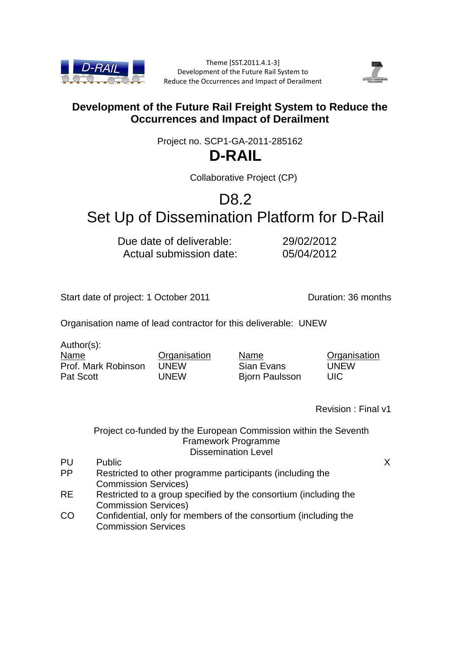

Theme [SST.2011.4.1-3] Development of the Future Rail System to Reduce the Occurrences and Impact of Derailment



# **Development of the Future Rail Freight System to Reduce the Occurrences and Impact of Derailment**

Project no. SCP1-GA-2011-285162

# **D-RAIL**

Collaborative Project (CP)

# D<sub>8.2</sub> Set Up of Dissemination Platform for D-Rail

Due date of deliverable: 29/02/2012 Actual submission date: 05/04/2012

Start date of project: 1 October 2011 Quantity Quantity Quantity Quantity Quantity Quantity Quantity Quantity Quantity Quantity Quantity Quantity Quantity Quantity Quantity Q

Organisation name of lead contractor for this deliverable: UNEW

Author(s): Name

Pat Scott

Prof. Mark Robinson **Organisation** UNEW UNEW

Name Sian Evans Bjorn Paulsson **Organisation** UNEW UIC

Revision : Final v1

## Project co-funded by the European Commission within the Seventh Framework Programme Dissemination Level

PU Public X PP Restricted to other programme participants (including the Commission Services) RE Restricted to a group specified by the consortium (including the Commission Services)

CO Confidential, only for members of the consortium (including the Commission Services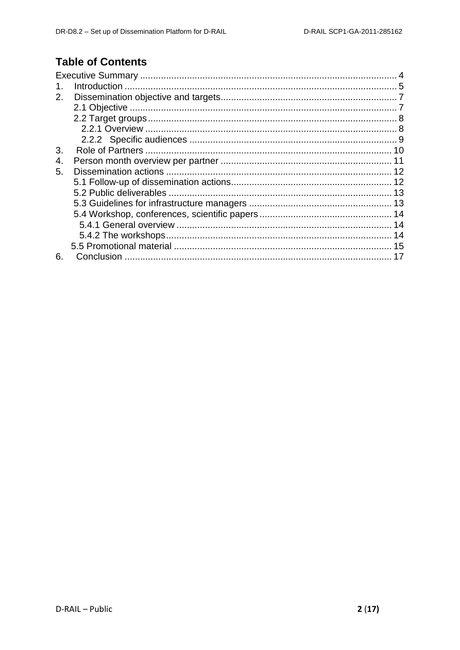# **Table of Contents**

| 2. |  |
|----|--|
|    |  |
|    |  |
|    |  |
|    |  |
| 3. |  |
| 4. |  |
| 5. |  |
|    |  |
|    |  |
|    |  |
|    |  |
|    |  |
|    |  |
|    |  |
| 6. |  |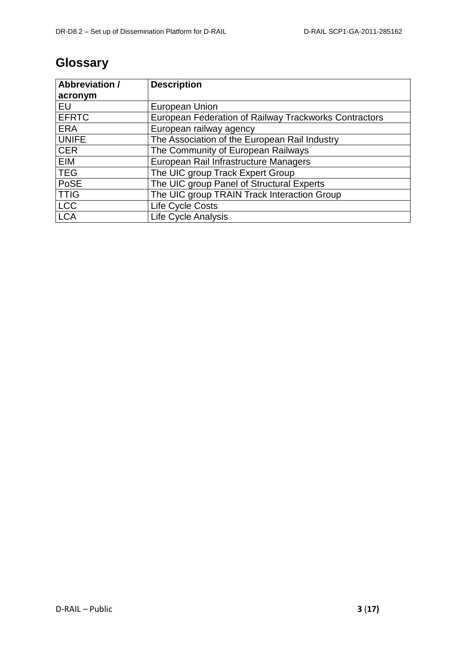# **Glossary**

| <b>Abbreviation /</b> | <b>Description</b>                                    |
|-----------------------|-------------------------------------------------------|
| acronym               |                                                       |
| EU                    | European Union                                        |
| <b>EFRTC</b>          | European Federation of Railway Trackworks Contractors |
| <b>ERA</b>            | European railway agency                               |
| <b>UNIFE</b>          | The Association of the European Rail Industry         |
| <b>CER</b>            | The Community of European Railways                    |
| EIM                   | European Rail Infrastructure Managers                 |
| <b>TEG</b>            | The UIC group Track Expert Group                      |
| PoSE                  | The UIC group Panel of Structural Experts             |
| <b>TTIG</b>           | The UIC group TRAIN Track Interaction Group           |
| LCC                   | Life Cycle Costs                                      |
| <b>LCA</b>            | <b>Life Cycle Analysis</b>                            |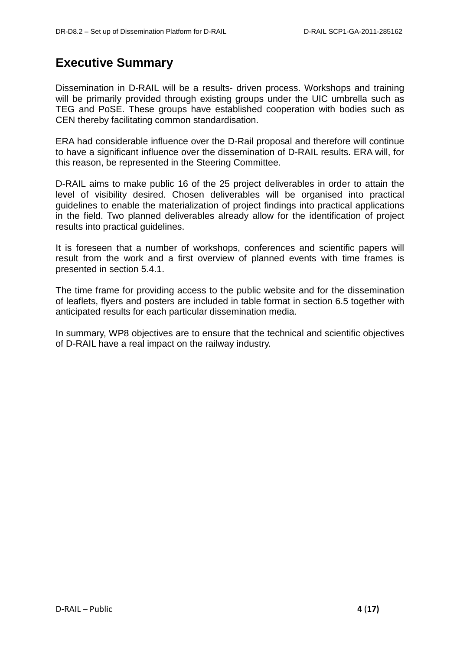# <span id="page-3-0"></span>**Executive Summary**

Dissemination in D-RAIL will be a results- driven process. Workshops and training will be primarily provided through existing groups under the UIC umbrella such as TEG and PoSE. These groups have established cooperation with bodies such as CEN thereby facilitating common standardisation.

ERA had considerable influence over the D-Rail proposal and therefore will continue to have a significant influence over the dissemination of D-RAIL results. ERA will, for this reason, be represented in the Steering Committee.

D-RAIL aims to make public 16 of the 25 project deliverables in order to attain the level of visibility desired. Chosen deliverables will be organised into practical guidelines to enable the materialization of project findings into practical applications in the field. Two planned deliverables already allow for the identification of project results into practical guidelines.

It is foreseen that a number of workshops, conferences and scientific papers will result from the work and a first overview of planned events with time frames is presented in section 5.4.1.

The time frame for providing access to the public website and for the dissemination of leaflets, flyers and posters are included in table format in section 6.5 together with anticipated results for each particular dissemination media.

In summary, WP8 objectives are to ensure that the technical and scientific objectives of D-RAIL have a real impact on the railway industry.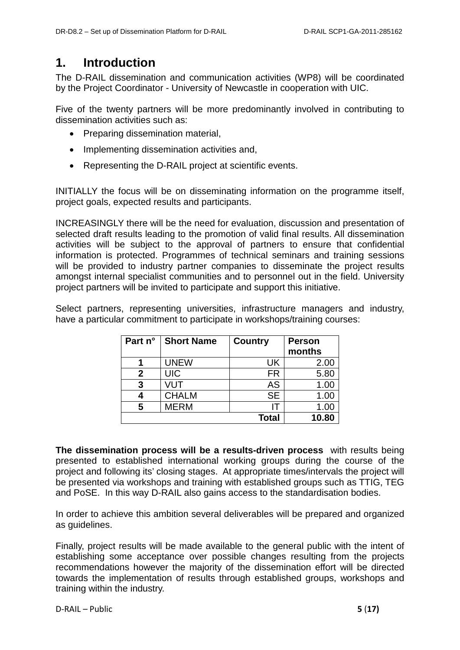# <span id="page-4-0"></span>**1. Introduction**

The D-RAIL dissemination and communication activities (WP8) will be coordinated by the Project Coordinator - University of Newcastle in cooperation with UIC.

Five of the twenty partners will be more predominantly involved in contributing to dissemination activities such as:

- Preparing dissemination material.
- Implementing dissemination activities and,
- Representing the D-RAIL project at scientific events.

INITIALLY the focus will be on disseminating information on the programme itself, project goals, expected results and participants.

INCREASINGLY there will be the need for evaluation, discussion and presentation of selected draft results leading to the promotion of valid final results. All dissemination activities will be subject to the approval of partners to ensure that confidential information is protected. Programmes of technical seminars and training sessions will be provided to industry partner companies to disseminate the project results amongst internal specialist communities and to personnel out in the field. University project partners will be invited to participate and support this initiative.

Select partners, representing universities, infrastructure managers and industry, have a particular commitment to participate in workshops/training courses:

| Part n° | <b>Short Name</b> | <b>Country</b> | <b>Person</b> |
|---------|-------------------|----------------|---------------|
|         |                   |                | months        |
|         | <b>UNEW</b>       | UK             | 2.00          |
| 2       | <b>UIC</b>        | <b>FR</b>      | 5.80          |
| 3       | VUT               | <b>AS</b>      | 1.00          |
|         | <b>CHALM</b>      | <b>SE</b>      | 1.00          |
| 5       | <b>MERM</b>       |                | 1.00          |
|         |                   | Total          | 10.80         |

**The dissemination process will be a results-driven process** with results being presented to established international working groups during the course of the project and following its' closing stages. At appropriate times/intervals the project will be presented via workshops and training with established groups such as TTIG, TEG and PoSE. In this way D-RAIL also gains access to the standardisation bodies.

In order to achieve this ambition several deliverables will be prepared and organized as guidelines.

Finally, project results will be made available to the general public with the intent of establishing some acceptance over possible changes resulting from the projects recommendations however the majority of the dissemination effort will be directed towards the implementation of results through established groups, workshops and training within the industry.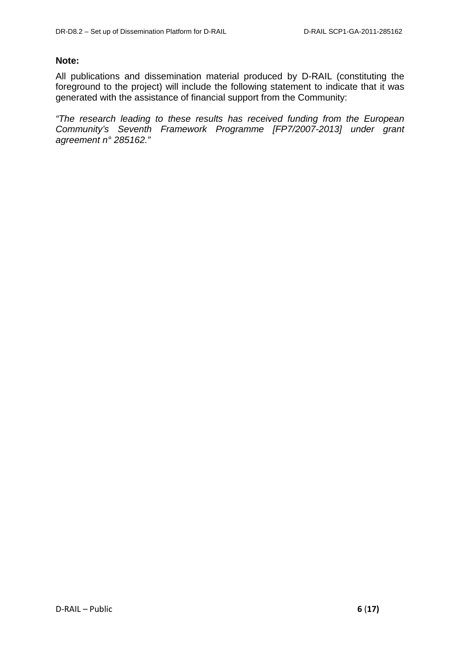### **Note:**

All publications and dissemination material produced by D-RAIL (constituting the foreground to the project) will include the following statement to indicate that it was generated with the assistance of financial support from the Community:

*"The research leading to these results has received funding from the European Community's Seventh Framework Programme [FP7/2007-2013] under grant agreement n° 285162."*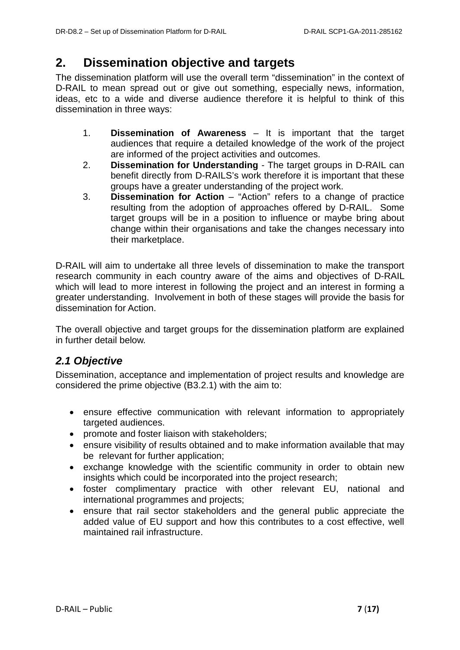# <span id="page-6-0"></span>**2. Dissemination objective and targets**

The dissemination platform will use the overall term "dissemination" in the context of D-RAIL to mean spread out or give out something, especially news, information, ideas, etc to a wide and diverse audience therefore it is helpful to think of this dissemination in three ways:

- 1. **Dissemination of Awareness** It is important that the target audiences that require a detailed knowledge of the work of the project are informed of the project activities and outcomes.
- 2. **Dissemination for Understanding**  The target groups in D-RAIL can benefit directly from D-RAILS's work therefore it is important that these groups have a greater understanding of the project work.
- 3. **Dissemination for Action**  "Action" refers to a change of practice resulting from the adoption of approaches offered by D-RAIL. Some target groups will be in a position to influence or maybe bring about change within their organisations and take the changes necessary into their marketplace.

D-RAIL will aim to undertake all three levels of dissemination to make the transport research community in each country aware of the aims and objectives of D-RAIL which will lead to more interest in following the project and an interest in forming a greater understanding. Involvement in both of these stages will provide the basis for dissemination for Action.

The overall objective and target groups for the dissemination platform are explained in further detail below.

## <span id="page-6-1"></span>*2.1 Objective*

Dissemination, acceptance and implementation of project results and knowledge are considered the prime objective (B3.2.1) with the aim to:

- ensure effective communication with relevant information to appropriately targeted audiences.
- promote and foster liaison with stakeholders;
- ensure visibility of results obtained and to make information available that may be relevant for further application;
- exchange knowledge with the scientific community in order to obtain new insights which could be incorporated into the project research;
- foster complimentary practice with other relevant EU, national and international programmes and projects;
- ensure that rail sector stakeholders and the general public appreciate the added value of EU support and how this contributes to a cost effective, well maintained rail infrastructure.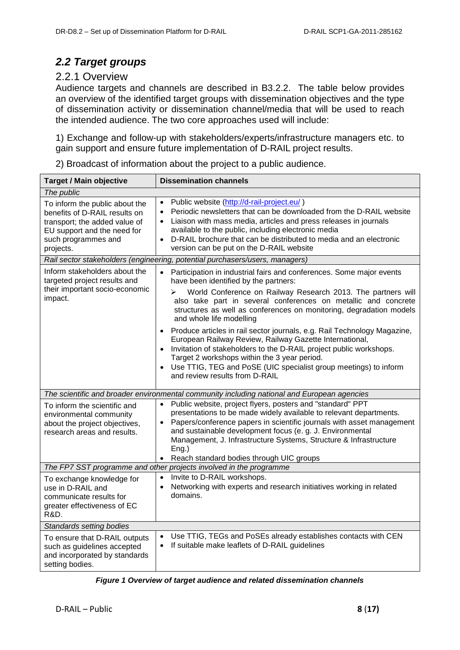# <span id="page-7-0"></span>*2.2 Target groups*

## <span id="page-7-1"></span>2.2.1 Overview

Audience targets and channels are described in B3.2.2. The table below provides an overview of the identified target groups with dissemination objectives and the type of dissemination activity or dissemination channel/media that will be used to reach the intended audience. The two core approaches used will include:

1) Exchange and follow-up with stakeholders/experts/infrastructure managers etc. to gain support and ensure future implementation of D-RAIL project results.

2) Broadcast of information about the project to a public audience.

| <b>Target / Main objective</b>                                                                                                                                      | <b>Dissemination channels</b>                                                                                                                                                                                                                                                                                                                                                                                              |
|---------------------------------------------------------------------------------------------------------------------------------------------------------------------|----------------------------------------------------------------------------------------------------------------------------------------------------------------------------------------------------------------------------------------------------------------------------------------------------------------------------------------------------------------------------------------------------------------------------|
| The public                                                                                                                                                          |                                                                                                                                                                                                                                                                                                                                                                                                                            |
| To inform the public about the<br>benefits of D-RAIL results on<br>transport; the added value of<br>EU support and the need for<br>such programmes and<br>projects. | Public website (http://d-rail-project.eu/)<br>$\bullet$<br>Periodic newsletters that can be downloaded from the D-RAIL website<br>$\bullet$<br>Liaison with mass media, articles and press releases in journals<br>$\bullet$<br>available to the public, including electronic media<br>D-RAIL brochure that can be distributed to media and an electronic<br>$\bullet$<br>version can be put on the D-RAIL website         |
|                                                                                                                                                                     | Rail sector stakeholders (engineering, potential purchasers/users, managers)                                                                                                                                                                                                                                                                                                                                               |
| Inform stakeholders about the<br>targeted project results and                                                                                                       | Participation in industrial fairs and conferences. Some major events<br>$\bullet$<br>have been identified by the partners:                                                                                                                                                                                                                                                                                                 |
| their important socio-economic<br>impact.                                                                                                                           | World Conference on Railway Research 2013. The partners will<br>$\blacktriangleright$<br>also take part in several conferences on metallic and concrete<br>structures as well as conferences on monitoring, degradation models<br>and whole life modelling                                                                                                                                                                 |
|                                                                                                                                                                     | Produce articles in rail sector journals, e.g. Rail Technology Magazine,<br>European Railway Review, Railway Gazette International,<br>• Invitation of stakeholders to the D-RAIL project public workshops.                                                                                                                                                                                                                |
|                                                                                                                                                                     | Target 2 workshops within the 3 year period.<br>Use TTIG, TEG and PoSE (UIC specialist group meetings) to inform<br>and review results from D-RAIL                                                                                                                                                                                                                                                                         |
|                                                                                                                                                                     | The scientific and broader environmental community including national and European agencies                                                                                                                                                                                                                                                                                                                                |
| To inform the scientific and<br>environmental community<br>about the project objectives,<br>research areas and results.                                             | Public website, project flyers, posters and "standard" PPT<br>presentations to be made widely available to relevant departments.<br>Papers/conference papers in scientific journals with asset management<br>$\bullet$<br>and sustainable development focus (e. g. J. Environmental<br>Management, J. Infrastructure Systems, Structure & Infrastructure<br>Eng.)<br>Reach standard bodies through UIC groups<br>$\bullet$ |
|                                                                                                                                                                     | The FP7 SST programme and other projects involved in the programme                                                                                                                                                                                                                                                                                                                                                         |
| To exchange knowledge for<br>use in D-RAIL and<br>communicate results for<br>greater effectiveness of EC<br>R&D.                                                    | Invite to D-RAIL workshops.<br>$\bullet$<br>Networking with experts and research initiatives working in related<br>$\bullet$<br>domains.                                                                                                                                                                                                                                                                                   |
| Standards setting bodies                                                                                                                                            |                                                                                                                                                                                                                                                                                                                                                                                                                            |
| To ensure that D-RAIL outputs<br>such as guidelines accepted<br>and incorporated by standards<br>setting bodies.                                                    | Use TTIG, TEGs and PoSEs already establishes contacts with CEN<br>$\bullet$<br>If suitable make leaflets of D-RAIL guidelines                                                                                                                                                                                                                                                                                              |

| Figure 1 Overview of target audience and related dissemination channels |
|-------------------------------------------------------------------------|
|-------------------------------------------------------------------------|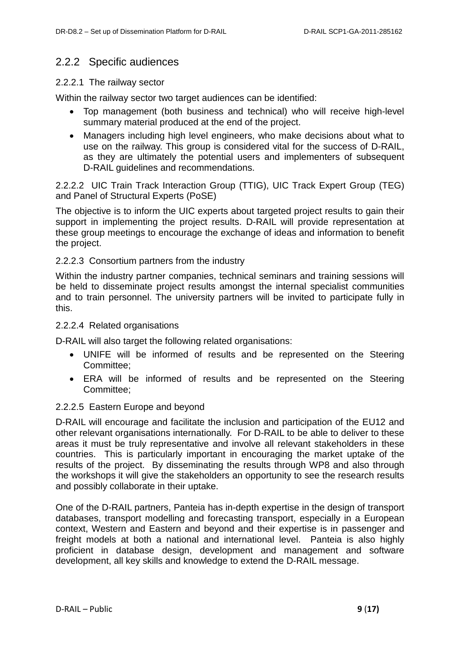## <span id="page-8-0"></span>2.2.2 Specific audiences

### 2.2.2.1 The railway sector

Within the railway sector two target audiences can be identified:

- Top management (both business and technical) who will receive high-level summary material produced at the end of the project.
- Managers including high level engineers, who make decisions about what to use on the railway. This group is considered vital for the success of D-RAIL, as they are ultimately the potential users and implementers of subsequent D-RAIL guidelines and recommendations.

2.2.2.2 UIC Train Track Interaction Group (TTIG), UIC Track Expert Group (TEG) and Panel of Structural Experts (PoSE)

The objective is to inform the UIC experts about targeted project results to gain their support in implementing the project results. D-RAIL will provide representation at these group meetings to encourage the exchange of ideas and information to benefit the project.

### 2.2.2.3 Consortium partners from the industry

Within the industry partner companies, technical seminars and training sessions will be held to disseminate project results amongst the internal specialist communities and to train personnel. The university partners will be invited to participate fully in this.

### 2.2.2.4 Related organisations

D-RAIL will also target the following related organisations:

- UNIFE will be informed of results and be represented on the Steering Committee;
- ERA will be informed of results and be represented on the Steering Committee;

### 2.2.2.5 Eastern Europe and beyond

D-RAIL will encourage and facilitate the inclusion and participation of the EU12 and other relevant organisations internationally. For D-RAIL to be able to deliver to these areas it must be truly representative and involve all relevant stakeholders in these countries. This is particularly important in encouraging the market uptake of the results of the project. By disseminating the results through WP8 and also through the workshops it will give the stakeholders an opportunity to see the research results and possibly collaborate in their uptake.

One of the D-RAIL partners, Panteia has in-depth expertise in the design of transport databases, transport modelling and forecasting transport, especially in a European context, Western and Eastern and beyond and their expertise is in passenger and freight models at both a national and international level. Panteia is also highly proficient in database design, development and management and software development, all key skills and knowledge to extend the D-RAIL message.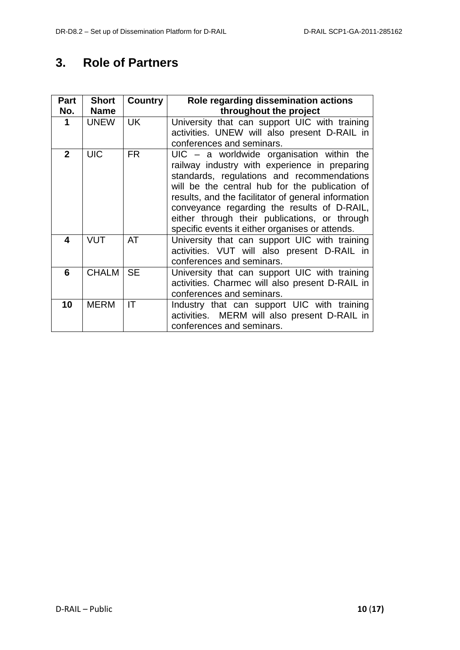# <span id="page-9-0"></span>**3. Role of Partners**

| Part           | <b>Short</b> | Country   | Role regarding dissemination actions                                                                                                                                                                                                                                                                                                                                                                   |
|----------------|--------------|-----------|--------------------------------------------------------------------------------------------------------------------------------------------------------------------------------------------------------------------------------------------------------------------------------------------------------------------------------------------------------------------------------------------------------|
| No.            | <b>Name</b>  |           | throughout the project                                                                                                                                                                                                                                                                                                                                                                                 |
| 1              | <b>UNEW</b>  | <b>UK</b> | University that can support UIC with training<br>activities. UNEW will also present D-RAIL in<br>conferences and seminars.                                                                                                                                                                                                                                                                             |
| $\overline{2}$ | <b>UIC</b>   | <b>FR</b> | $UIC - a$ worldwide organisation within the<br>railway industry with experience in preparing<br>standards, regulations and recommendations<br>will be the central hub for the publication of<br>results, and the facilitator of general information<br>conveyance regarding the results of D-RAIL,<br>either through their publications, or through<br>specific events it either organises or attends. |
| 4              | <b>VUT</b>   | AT        | University that can support UIC with training<br>activities. VUT will also present D-RAIL in<br>conferences and seminars.                                                                                                                                                                                                                                                                              |
| 6              | <b>CHALM</b> | <b>SE</b> | University that can support UIC with training<br>activities. Charmec will also present D-RAIL in<br>conferences and seminars.                                                                                                                                                                                                                                                                          |
| 10             | <b>MERM</b>  | IT        | Industry that can support UIC with training<br>activities. MERM will also present D-RAIL in<br>conferences and seminars.                                                                                                                                                                                                                                                                               |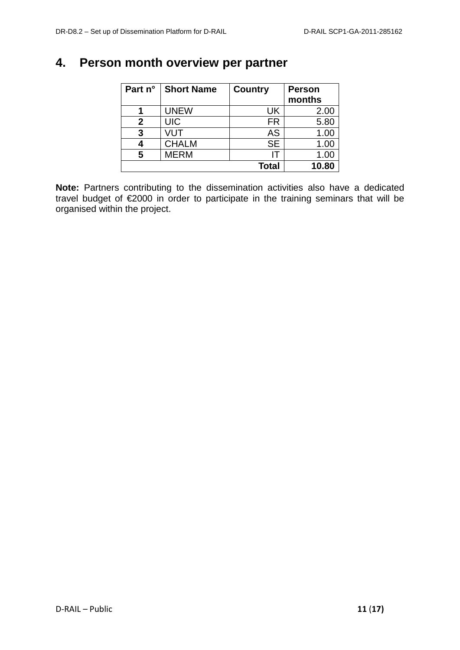# <span id="page-10-0"></span>**4. Person month overview per partner**

| Part n° | <b>Short Name</b> | <b>Country</b> | <b>Person</b> |
|---------|-------------------|----------------|---------------|
|         |                   |                | months        |
|         | <b>UNEW</b>       | UK             | 2.00          |
| 2       | <b>UIC</b>        | FR             | 5.80          |
| 3       | VUT               | <b>AS</b>      | 1.00          |
|         | <b>CHALM</b>      | <b>SE</b>      | 1.00          |
| 5       | <b>MERM</b>       | ΙT             | 1.00          |
|         |                   | Total          | 10.80         |

**Note:** Partners contributing to the dissemination activities also have a dedicated travel budget of €2000 in order to participate in the training seminars that will be organised within the project.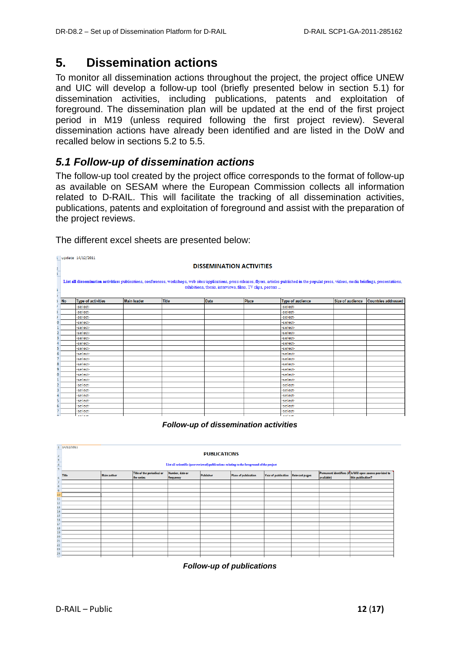# <span id="page-11-0"></span>**5. Dissemination actions**

To monitor all dissemination actions throughout the project, the project office UNEW and UIC will develop a follow-up tool (briefly presented below in section 5.1) for dissemination activities, including publications, patents and exploitation of foreground. The dissemination plan will be updated at the end of the first project period in M19 (unless required following the first project review). Several dissemination actions have already been identified and are listed in the DoW and recalled below in sections 5.2 to 5.5.

## <span id="page-11-1"></span>*5.1 Follow-up of dissemination actions*

The follow-up tool created by the project office corresponds to the format of follow-up as available on SESAM where the European Commission collects all information related to D-RAIL. This will facilitate the tracking of all dissemination activities, publications, patents and exploitation of foreground and assist with the preparation of the project reviews.

|                          |                                                                                                                                                                                                                                                                        | L update 14/12/2011             |                    |              |             |              |                         |                  |                            |
|--------------------------|------------------------------------------------------------------------------------------------------------------------------------------------------------------------------------------------------------------------------------------------------------------------|---------------------------------|--------------------|--------------|-------------|--------------|-------------------------|------------------|----------------------------|
| $\frac{2}{3}$            |                                                                                                                                                                                                                                                                        | <b>DISSEMINATION ACTIVITIES</b> |                    |              |             |              |                         |                  |                            |
| ŧ.<br>$\overline{\cdot}$ | List all dissemination activities: publications, conferences, workshops, web sites/applications, press releases, flyers, articles published in the populat press, videos, media briefings, presentations,<br>exhibitions, thesis, interviews, films, TV clips, posters |                                 |                    |              |             |              |                         |                  |                            |
|                          | <b>No</b>                                                                                                                                                                                                                                                              | <b>Type of activities</b>       | <b>Main leader</b> | <b>Title</b> | <b>Date</b> | <b>Place</b> | <b>Type of audience</b> | Size of audience | <b>Countries addressed</b> |
|                          |                                                                                                                                                                                                                                                                        | -select-                        |                    |              |             |              | -select-                |                  |                            |
|                          |                                                                                                                                                                                                                                                                        | -select-                        |                    |              |             |              | -select-                |                  |                            |
|                          |                                                                                                                                                                                                                                                                        | -select-                        |                    |              |             |              | -select-                |                  |                            |
| O                        |                                                                                                                                                                                                                                                                        | -select-                        |                    |              |             |              | -select-                |                  |                            |
|                          |                                                                                                                                                                                                                                                                        | -select-                        |                    |              |             |              | -select-                |                  |                            |
| $\overline{2}$           |                                                                                                                                                                                                                                                                        | -select-                        |                    |              |             |              | -select-                |                  |                            |
| 3                        |                                                                                                                                                                                                                                                                        | -select-                        |                    |              |             |              | -select-                |                  |                            |
| 4                        |                                                                                                                                                                                                                                                                        | -select-                        |                    |              |             |              | -select-                |                  |                            |
| 5                        |                                                                                                                                                                                                                                                                        | -select-                        |                    |              |             |              | -select-                |                  |                            |
| 6                        |                                                                                                                                                                                                                                                                        | -select-                        |                    |              |             |              | -select-                |                  |                            |
| $\overline{7}$           |                                                                                                                                                                                                                                                                        | -select-                        |                    |              |             |              | -select-                |                  |                            |
| 8                        |                                                                                                                                                                                                                                                                        | -select-                        |                    |              |             |              | -select-                |                  |                            |
| 9                        |                                                                                                                                                                                                                                                                        | -select-                        |                    |              |             |              | -select-                |                  |                            |
| o                        |                                                                                                                                                                                                                                                                        | -select-                        |                    |              |             |              | -select-                |                  |                            |
|                          |                                                                                                                                                                                                                                                                        | -select-                        |                    |              |             |              | -select-                |                  |                            |
| $\overline{2}$           |                                                                                                                                                                                                                                                                        | -select-                        |                    |              |             |              | -select-                |                  |                            |
| $\overline{\mathbf{3}}$  |                                                                                                                                                                                                                                                                        | -select-                        |                    |              |             |              | -select-                |                  |                            |
| 4                        |                                                                                                                                                                                                                                                                        | -select-                        |                    |              |             |              | -select-                |                  |                            |
| 5                        |                                                                                                                                                                                                                                                                        | -select-                        |                    |              |             |              | -select-                |                  |                            |
| 6                        |                                                                                                                                                                                                                                                                        | -select-                        |                    |              |             |              | -select-                |                  |                            |
|                          |                                                                                                                                                                                                                                                                        | -select-                        |                    |              |             |              | -select-                |                  |                            |
| $\sim$                   |                                                                                                                                                                                                                                                                        | colort.                         |                    |              |             |              | colort-                 |                  |                            |

The different excel sheets are presented below:

### *Follow-up of dissemination activities*

|                     | 14/12/2011 |                                                                                            |                            |                 |           |                      |                                    |  |            |                                                           |
|---------------------|------------|--------------------------------------------------------------------------------------------|----------------------------|-----------------|-----------|----------------------|------------------------------------|--|------------|-----------------------------------------------------------|
|                     |            | <b>PUBLICATIONS</b>                                                                        |                            |                 |           |                      |                                    |  |            |                                                           |
| $\overline{2}$      |            |                                                                                            |                            |                 |           |                      |                                    |  |            |                                                           |
|                     |            |                                                                                            |                            |                 |           |                      |                                    |  |            |                                                           |
|                     |            | List all scientific (peer reviewed) publications relating to the foreground of the project |                            |                 |           |                      |                                    |  |            |                                                           |
|                     |            |                                                                                            |                            |                 |           |                      |                                    |  |            |                                                           |
|                     | Title      | <b>Main author</b>                                                                         | Title of the periodical or | Number, date or | Publisher | Place of publication | Year of publication Relevant pages |  |            | Permanent identifiers (if Is/Will open access provided to |
| 6                   |            |                                                                                            | the series                 | frequency       |           |                      |                                    |  | available) | this publication?                                         |
|                     |            |                                                                                            |                            |                 |           |                      |                                    |  |            |                                                           |
| 8                   |            |                                                                                            |                            |                 |           |                      |                                    |  |            |                                                           |
| 9                   |            |                                                                                            |                            |                 |           |                      |                                    |  |            |                                                           |
| 10 <sub>10</sub>    |            |                                                                                            |                            |                 |           |                      |                                    |  |            |                                                           |
| 11                  |            |                                                                                            |                            |                 |           |                      |                                    |  |            |                                                           |
| 12                  |            |                                                                                            |                            |                 |           |                      |                                    |  |            |                                                           |
| 13                  |            |                                                                                            |                            |                 |           |                      |                                    |  |            |                                                           |
| 14                  |            |                                                                                            |                            |                 |           |                      |                                    |  |            |                                                           |
| 15 <sup>1</sup>     |            |                                                                                            |                            |                 |           |                      |                                    |  |            |                                                           |
| 16                  |            |                                                                                            |                            |                 |           |                      |                                    |  |            |                                                           |
| 17                  |            |                                                                                            |                            |                 |           |                      |                                    |  |            |                                                           |
| 18                  |            |                                                                                            |                            |                 |           |                      |                                    |  |            |                                                           |
| 19 <sup>°</sup>     |            |                                                                                            |                            |                 |           |                      |                                    |  |            |                                                           |
| 20 <sub>2</sub>     |            |                                                                                            |                            |                 |           |                      |                                    |  |            |                                                           |
| 21                  |            |                                                                                            |                            |                 |           |                      |                                    |  |            |                                                           |
| 22                  |            |                                                                                            |                            |                 |           |                      |                                    |  |            |                                                           |
| 23                  |            |                                                                                            |                            |                 |           |                      |                                    |  |            |                                                           |
| $24^{1}$<br>$n = 1$ |            |                                                                                            |                            |                 |           |                      |                                    |  |            |                                                           |

*Follow-up of publications*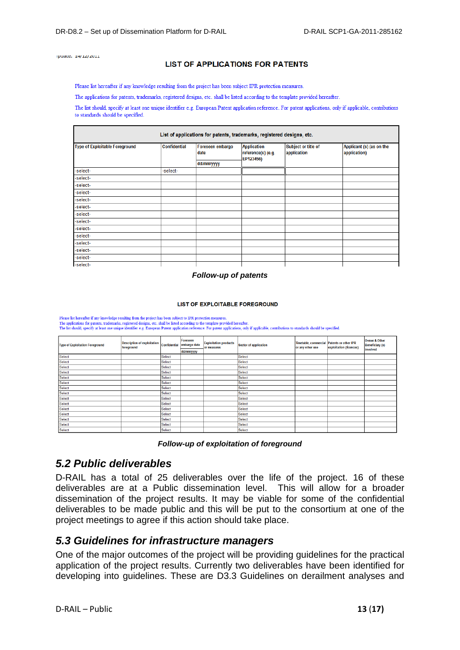ipuate. 14/12/2011

#### **LIST OF APPLICATIONS FOR PATENTS**

Please list hereafter if any knowledge resulting from the project has been subject IPR protection measures.

The applications for patents, trademarks, registered designs, etc. shall be listed according to the template provided hereafter.

The list should, specify at least one unique identifier e.g. European Patent application reference. For patent applications, only if applicable, contributions to standards should be specified.

| List of applications for patents, trademarks, registered designs, etc. |                     |                          |                                                       |                                    |                                          |  |  |
|------------------------------------------------------------------------|---------------------|--------------------------|-------------------------------------------------------|------------------------------------|------------------------------------------|--|--|
| <b>Type of Exploitable Foreground</b>                                  | <b>Confidential</b> | Foreseen embargo<br>date | <b>Application</b><br>reference(s) (e.g.<br>EP123456) | Subject or title of<br>application | Applicant (s) (as on the<br>application) |  |  |
|                                                                        |                     | dd/mm/yyyy               |                                                       |                                    |                                          |  |  |
| -select-                                                               | -select-            |                          |                                                       |                                    |                                          |  |  |
| -select-                                                               |                     |                          |                                                       |                                    |                                          |  |  |
| -select-                                                               |                     |                          |                                                       |                                    |                                          |  |  |
| -select-                                                               |                     |                          |                                                       |                                    |                                          |  |  |
| -select-                                                               |                     |                          |                                                       |                                    |                                          |  |  |
| -select-                                                               |                     |                          |                                                       |                                    |                                          |  |  |
| -select-                                                               |                     |                          |                                                       |                                    |                                          |  |  |
| -select-                                                               |                     |                          |                                                       |                                    |                                          |  |  |
| -select-                                                               |                     |                          |                                                       |                                    |                                          |  |  |
| -select-                                                               |                     |                          |                                                       |                                    |                                          |  |  |
| -select-                                                               |                     |                          |                                                       |                                    |                                          |  |  |
| -select-                                                               |                     |                          |                                                       |                                    |                                          |  |  |
| -select-                                                               |                     |                          |                                                       |                                    |                                          |  |  |
| -select-                                                               |                     |                          |                                                       |                                    |                                          |  |  |

#### *Follow-up of patents*

#### **LIST OF EXPLOITABLE FOREGROUND**

Please list hereafter if any knowledge resulting from the project has been subject to IPR protection measures.<br>The applications for patents, trademarks, registered designs, etc. shall be listed according to the template pr

| <b>Type of Exploitation Foreground</b> | Description of exploitation Confidential embargo date<br>foreground |               | Foreseen   | <b>Exploitation products</b><br>or measures | <b>Sector of application</b> | Timetable, commercial Patents or other IPR<br>or any other use | exploitation (licences) | Owner & Other<br><b>Beneficiary (s)</b><br>involved |
|----------------------------------------|---------------------------------------------------------------------|---------------|------------|---------------------------------------------|------------------------------|----------------------------------------------------------------|-------------------------|-----------------------------------------------------|
|                                        |                                                                     |               | dd/mm/yyyy |                                             |                              |                                                                |                         |                                                     |
| Select                                 |                                                                     | <b>Select</b> |            |                                             | <b>Select</b>                |                                                                |                         |                                                     |
| Select                                 |                                                                     | <b>Select</b> |            |                                             | <b>Select</b>                |                                                                |                         |                                                     |
| <b>Select</b>                          |                                                                     | Select        |            |                                             | <b>Select</b>                |                                                                |                         |                                                     |
| <b>Select</b>                          |                                                                     | Select        |            |                                             | <b>Select</b>                |                                                                |                         |                                                     |
| <b>Select</b>                          |                                                                     | Select        |            |                                             | <b>Select</b>                |                                                                |                         |                                                     |
| Select                                 |                                                                     | Select        |            |                                             | <b>Select</b>                |                                                                |                         |                                                     |
| Select                                 |                                                                     | <b>Select</b> |            |                                             | <b>Select</b>                |                                                                |                         |                                                     |
| Select                                 |                                                                     | <b>Select</b> |            |                                             | <b>Select</b>                |                                                                |                         |                                                     |
| Select                                 |                                                                     | <b>Select</b> |            |                                             | <b>Select</b>                |                                                                |                         |                                                     |
| <b>Select</b>                          |                                                                     | <b>Select</b> |            |                                             | <b>Select</b>                |                                                                |                         |                                                     |
| <b>Select</b>                          |                                                                     | Select        |            |                                             | <b>Select</b>                |                                                                |                         |                                                     |
| Select                                 |                                                                     | Select        |            |                                             | <b>Select</b>                |                                                                |                         |                                                     |
| Select                                 |                                                                     | Select        |            |                                             | <b>Select</b>                |                                                                |                         |                                                     |
| Select                                 |                                                                     | Select        |            |                                             | <b>Select</b>                |                                                                |                         |                                                     |
| Select                                 |                                                                     | <b>Select</b> |            |                                             | <b>Select</b>                |                                                                |                         |                                                     |

|  |  | Follow-up of exploitation of foreground |
|--|--|-----------------------------------------|
|--|--|-----------------------------------------|

## <span id="page-12-0"></span>*5.2 Public deliverables*

D-RAIL has a total of 25 deliverables over the life of the project. 16 of these deliverables are at a Public dissemination level. This will allow for a broader dissemination of the project results. It may be viable for some of the confidential deliverables to be made public and this will be put to the consortium at one of the project meetings to agree if this action should take place.

### <span id="page-12-1"></span>*5.3 Guidelines for infrastructure managers*

One of the major outcomes of the project will be providing guidelines for the practical application of the project results. Currently two deliverables have been identified for developing into guidelines. These are D3.3 Guidelines on derailment analyses and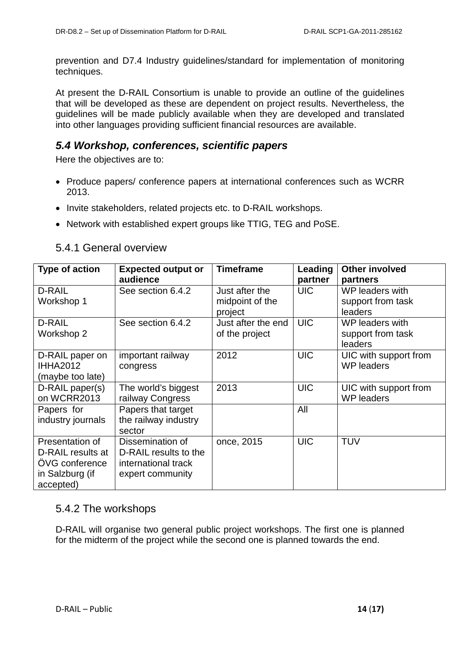prevention and D7.4 Industry guidelines/standard for implementation of monitoring techniques.

At present the D-RAIL Consortium is unable to provide an outline of the guidelines that will be developed as these are dependent on project results. Nevertheless, the guidelines will be made publicly available when they are developed and translated into other languages providing sufficient financial resources are available.

## <span id="page-13-0"></span>*5.4 Workshop, conferences, scientific papers*

Here the objectives are to:

- Produce papers/ conference papers at international conferences such as WCRR 2013.
- Invite stakeholders, related projects etc. to D-RAIL workshops.
- Network with established expert groups like TTIG, TEG and PoSE.

| <b>Type of action</b>                                                                  | <b>Expected output or</b><br>audience                                                | <b>Timeframe</b>                                | Leading<br>partner | <b>Other involved</b><br>partners                          |
|----------------------------------------------------------------------------------------|--------------------------------------------------------------------------------------|-------------------------------------------------|--------------------|------------------------------------------------------------|
| D-RAIL<br>Workshop 1                                                                   | See section 6.4.2                                                                    | Just after the<br>midpoint of the               | <b>UIC</b>         | WP leaders with<br>support from task                       |
| D-RAIL<br>Workshop 2                                                                   | See section 6.4.2                                                                    | project<br>Just after the end<br>of the project | <b>UIC</b>         | leaders<br>WP leaders with<br>support from task<br>leaders |
| D-RAIL paper on<br><b>IHHA2012</b><br>(maybe too late)                                 | important railway<br>congress                                                        | 2012                                            | <b>UIC</b>         | UIC with support from<br><b>WP</b> leaders                 |
| D-RAIL paper(s)<br>on WCRR2013                                                         | The world's biggest<br>railway Congress                                              | 2013                                            | <b>UIC</b>         | UIC with support from<br><b>WP</b> leaders                 |
| Papers for<br>industry journals                                                        | Papers that target<br>the railway industry<br>sector                                 |                                                 | All                |                                                            |
| Presentation of<br>D-RAIL results at<br>ÖVG conference<br>in Salzburg (if<br>accepted) | Dissemination of<br>D-RAIL results to the<br>international track<br>expert community | once, 2015                                      | <b>UIC</b>         | <b>TUV</b>                                                 |

## <span id="page-13-1"></span>5.4.1 General overview

## <span id="page-13-2"></span>5.4.2 The workshops

D-RAIL will organise two general public project workshops. The first one is planned for the midterm of the project while the second one is planned towards the end.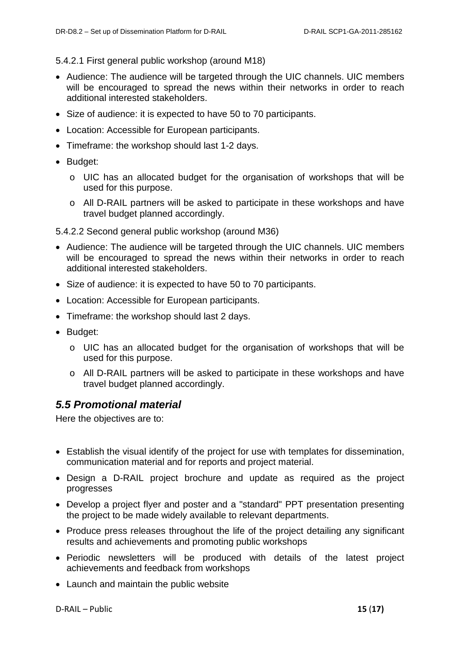5.4.2.1 First general public workshop (around M18)

- Audience: The audience will be targeted through the UIC channels. UIC members will be encouraged to spread the news within their networks in order to reach additional interested stakeholders.
- Size of audience: it is expected to have 50 to 70 participants.
- Location: Accessible for European participants.
- Timeframe: the workshop should last 1-2 days.
- Budget:
	- o UIC has an allocated budget for the organisation of workshops that will be used for this purpose.
	- o All D-RAIL partners will be asked to participate in these workshops and have travel budget planned accordingly.

5.4.2.2 Second general public workshop (around M36)

- Audience: The audience will be targeted through the UIC channels. UIC members will be encouraged to spread the news within their networks in order to reach additional interested stakeholders.
- Size of audience: it is expected to have 50 to 70 participants.
- Location: Accessible for European participants.
- Timeframe: the workshop should last 2 days.
- Budget:
	- o UIC has an allocated budget for the organisation of workshops that will be used for this purpose.
	- o All D-RAIL partners will be asked to participate in these workshops and have travel budget planned accordingly.

## <span id="page-14-0"></span>*5.5 Promotional material*

Here the objectives are to:

- Establish the visual identify of the project for use with templates for dissemination, communication material and for reports and project material.
- Design a D-RAIL project brochure and update as required as the project progresses
- Develop a project flyer and poster and a "standard" PPT presentation presenting the project to be made widely available to relevant departments.
- Produce press releases throughout the life of the project detailing any significant results and achievements and promoting public workshops
- Periodic newsletters will be produced with details of the latest project achievements and feedback from workshops
- Launch and maintain the public website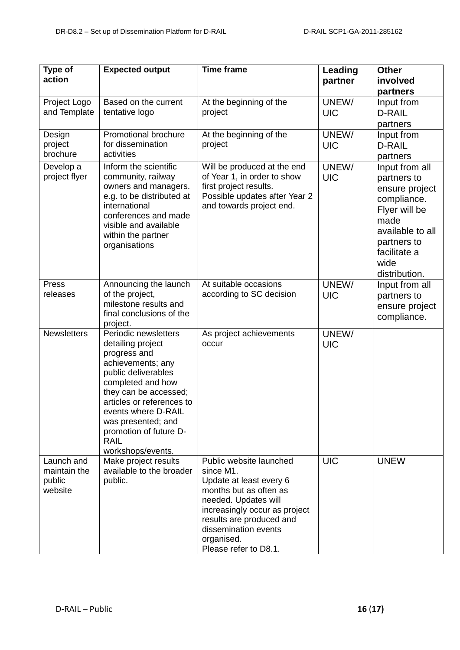| Type of<br>action                               | <b>Expected output</b>                                                                                                                                                                                                                                                                      | <b>Time frame</b>                                                                                                                                                                                                                             | <b>Leading</b><br>partner | <b>Other</b><br>involved                                                                                                                                            |
|-------------------------------------------------|---------------------------------------------------------------------------------------------------------------------------------------------------------------------------------------------------------------------------------------------------------------------------------------------|-----------------------------------------------------------------------------------------------------------------------------------------------------------------------------------------------------------------------------------------------|---------------------------|---------------------------------------------------------------------------------------------------------------------------------------------------------------------|
|                                                 |                                                                                                                                                                                                                                                                                             |                                                                                                                                                                                                                                               |                           | partners                                                                                                                                                            |
| Project Logo<br>and Template                    | Based on the current<br>tentative logo                                                                                                                                                                                                                                                      | At the beginning of the<br>project                                                                                                                                                                                                            | UNEW/<br><b>UIC</b>       | Input from<br>D-RAIL<br>partners                                                                                                                                    |
| Design<br>project<br>brochure                   | Promotional brochure<br>for dissemination<br>activities                                                                                                                                                                                                                                     | At the beginning of the<br>project                                                                                                                                                                                                            | UNEW/<br><b>UIC</b>       | Input from<br><b>D-RAIL</b><br>partners                                                                                                                             |
| Develop a<br>project flyer                      | Inform the scientific<br>community, railway<br>owners and managers.<br>e.g. to be distributed at<br>international<br>conferences and made<br>visible and available<br>within the partner<br>organisations                                                                                   | Will be produced at the end<br>of Year 1, in order to show<br>first project results.<br>Possible updates after Year 2<br>and towards project end.                                                                                             | UNEW/<br><b>UIC</b>       | Input from all<br>partners to<br>ensure project<br>compliance.<br>Flyer will be<br>made<br>available to all<br>partners to<br>facilitate a<br>wide<br>distribution. |
| Press<br>releases                               | Announcing the launch<br>of the project,<br>milestone results and<br>final conclusions of the<br>project.                                                                                                                                                                                   | At suitable occasions<br>according to SC decision                                                                                                                                                                                             | UNEW/<br><b>UIC</b>       | Input from all<br>partners to<br>ensure project<br>compliance.                                                                                                      |
| <b>Newsletters</b>                              | Periodic newsletters<br>detailing project<br>progress and<br>achievements; any<br>public deliverables<br>completed and how<br>they can be accessed;<br>articles or references to<br>events where D-RAIL<br>was presented; and<br>promotion of future D-<br><b>RAIL</b><br>workshops/events. | As project achievements<br>occur                                                                                                                                                                                                              | UNEW/<br><b>UIC</b>       |                                                                                                                                                                     |
| Launch and<br>maintain the<br>public<br>website | Make project results<br>available to the broader<br>public.                                                                                                                                                                                                                                 | Public website launched<br>since M1.<br>Update at least every 6<br>months but as often as<br>needed. Updates will<br>increasingly occur as project<br>results are produced and<br>dissemination events<br>organised.<br>Please refer to D8.1. | <b>UIC</b>                | <b>UNEW</b>                                                                                                                                                         |